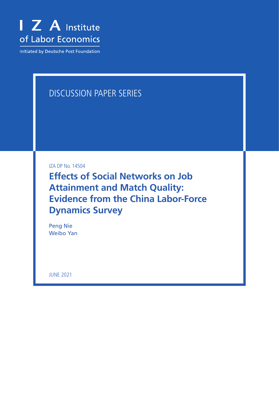

Initiated by Deutsche Post Foundation

# DISCUSSION PAPER SERIES

IZA DP No. 14504

**Effects of Social Networks on Job Attainment and Match Quality: Evidence from the China Labor-Force Dynamics Survey**

Peng Nie Weibo Yan

JUNE 2021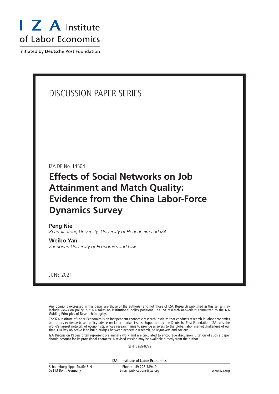

Initiated by Deutsche Post Foundation

## DISCUSSION PAPER SERIES

IZA DP No. 14504

# **Effects of Social Networks on Job Attainment and Match Quality: Evidence from the China Labor-Force Dynamics Survey**

#### **Peng Nie**

*Xi'an Jiaotong University, University of Hohenheim and IZA*

#### **Weibo Yan**

*Zhongnan University of Economics and Law*

JUNE 2021

Any opinions expressed in this paper are those of the author(s) and not those of IZA. Research published in this series may include views on policy, but IZA takes no institutional policy positions. The IZA research network is committed to the IZA Guiding Principles of Research Integrity.

The IZA Institute of Labor Economics is an independent economic research institute that conducts research in labor economics and offers evidence-based policy advice on labor market issues. Supported by the Deutsche Post Foundation, IZA runs the world's largest network of economists, whose research aims to provide answers to the global labor market challenges of our time. Our key objective is to build bridges between academic research, policymakers and society.

IZA Discussion Papers often represent preliminary work and are circulated to encourage discussion. Citation of such a paper should account for its provisional character. A revised version may be available directly from the author.

ISSN: 2365-9793

**IZA – Institute of Labor Economics**

| Schaumburg-Lippe-Straße 5-9 | Phone: +49-228-3894-0       |             |
|-----------------------------|-----------------------------|-------------|
| 53113 Bonn, Germany         | Email: publications@iza.org | www.iza.org |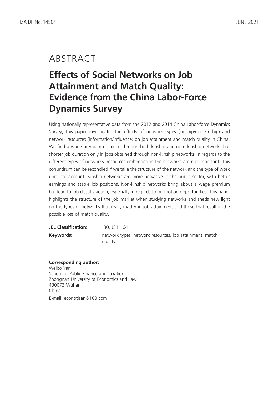# ABSTRACT

# **Effects of Social Networks on Job Attainment and Match Quality: Evidence from the China Labor-Force Dynamics Survey**

Using nationally representative data from the 2012 and 2014 China Labor-force Dynamics Survey, this paper investigates the effects of network types (kinship/non-kinship) and network resources (information/influence) on job attainment and match quality in China. We find a wage premium obtained through both kinship and non- kinship networks but shorter job duration only in jobs obtained through non-kinship networks. In regards to the different types of networks, resources embedded in the networks are not important. This conundrum can be reconciled if we take the structure of the network and the type of work unit into account. Kinship networks are more pervasive in the public sector, with better earnings and stable job positions. Non-kinship networks bring about a wage premium but lead to job dissatisfaction, especially in regards to promotion opportunities. This paper highlights the structure of the job market when studying networks and sheds new light on the types of networks that really matter in job attainment and those that result in the possible loss of match quality.

| <b>JEL Classification:</b> | J30, J31, J64                                                      |
|----------------------------|--------------------------------------------------------------------|
| Keywords:                  | network types, network resources, job attainment, match<br>quality |

**Corresponding author:** Weibo Yan School of Public Finance and Taxation Zhongnan University of Economics and Law 430073 Wuhan China E-mail: econotisan@163.com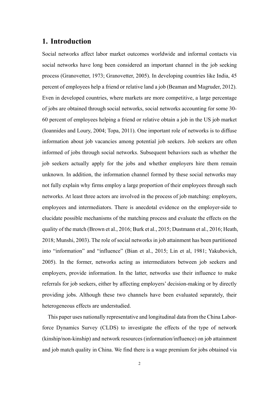## **1.** Introduction

Social networks affect labor market outcomes worldwide and informal contacts via social networks have long been considered an important channel in the job seeking process (Granovetter, 1973; Granovetter, 2005). In developing countries like India, 45 percent of employees help a friend or relative land a job (Beaman and Magruder, 2012). Even in developed countries, where markets are more competitive, a large percentage of jobs are obtained through social networks, social networks accounting for some 30-60 percent of employees helping a friend or relative obtain a job in the US job market (Ioannides and Loury, 2004; Topa, 2011). One important role of networks is to diffuse information about job vacancies among potential job seekers. Job seekers are often informed of jobs through social networks. Subsequent behaviors such as whether the job seekers actually apply for the jobs and whether employers hire them remain unknown. In addition, the information channel formed by these social networks may not fully explain why firms employ a large proportion of their employees through such networks. At least three actors are involved in the process of job matching: employers, employees and intermediators. There is anecdotal evidence on the employer-side to elucidate possible mechanisms of the matching process and evaluate the effects on the quality of the match (Brown et al., 2016; Burk et al., 2015; Dustmann et al., 2016; Heath, 2018; Munshi, 2003). The role of social networks in job attainment has been partitioned into "information" and "influence" (Bian et al., 2015; Lin et al, 1981; Yakubovich, 2005). In the former, networks acting as intermediators between job seekers and employers, provide information. In the latter, networks use their influence to make referrals for job seekers, either by affecting employers' decision-making or by directly providing jobs. Although these two channels have been evaluated separately, their heterogeneous effects are understudied.

This paper uses nationally representative and longitudinal data from the China Laborforce Dynamics Survey (CLDS) to investigate the effects of the type of network  $(kinship/non-kinship)$  and network resources (information/influence) on job attainment and job match quality in China. We find there is a wage premium for jobs obtained via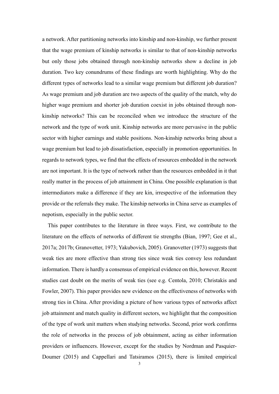a network. After partitioning networks into kinship and non-kinship, we further present that the wage premium of kinship networks is similar to that of non-kinship networks but only those jobs obtained through non-kinship networks show a decline in job duration. Two key conundrums of these findings are worth highlighting. Why do the different types of networks lead to a similar wage premium but different job duration? As wage premium and job duration are two aspects of the quality of the match, why do higher wage premium and shorter job duration coexist in jobs obtained through nonkinship networks? This can be reconciled when we introduce the structure of the network and the type of work unit. Kinship networks are more pervasive in the public sector with higher earnings and stable positions. Non-kinship networks bring about a wage premium but lead to job dissatisfaction, especially in promotion opportunities. In regards to network types, we find that the effects of resources embedded in the network are not important. It is the type of network rather than the resources embedded in it that really matter in the process of job attainment in China. One possible explanation is that intermediators make a difference if they are kin, irrespective of the information they provide or the referrals they make. The kinship networks in China serve as examples of nepotism, especially in the public sector.

This paper contributes to the literature in three ways. First, we contribute to the literature on the effects of networks of different tie strengths (Bian, 1997; Gee et al., 2017a; 2017b; Granovetter, 1973; Yakubovich, 2005). Granovetter (1973) suggests that weak ties are more effective than strong ties since weak ties convey less redundant information. There is hardly a consensus of empirical evidence on this, however. Recent studies cast doubt on the merits of weak ties (see e.g. Centola, 2010; Christakis and Fowler, 2007). This paper provides new evidence on the effectiveness of networks with strong ties in China. After providing a picture of how various types of networks affect job attainment and match quality in different sectors, we highlight that the composition of the type of work unit matters when studying networks. Second, prior work confirms the role of networks in the process of job obtainment, acting as either information providers or influencers. However, except for the studies by Nordman and Pasquier-Doumer (2015) and Cappellari and Tatsiramos (2015), there is limited empirical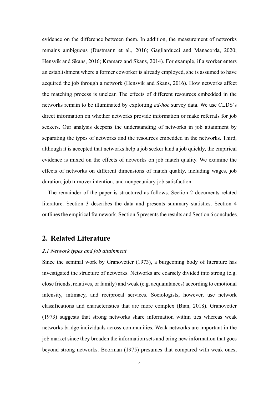evidence on the difference between them. In addition, the measurement of networks remains ambiguous (Dustmann et al., 2016; Gagliarducci and Manacorda, 2020; Hensvik and Skans, 2016; Kramarz and Skans, 2014). For example, if a worker enters an establishment where a former coworker is already employed, she is assumed to have acquired the job through a network (Hensvik and Skans, 2016). How networks affect the matching process is unclear. The effects of different resources embedded in the networks remain to be illuminated by exploiting *ad-hoc* survey data. We use CLDS's direct information on whether networks provide information or make referrals for job seekers. Our analysis deepens the understanding of networks in job attainment by separating the types of networks and the resources embedded in the networks. Third, although it is accepted that networks help a job seeker land a job quickly, the empirical evidence is mixed on the effects of networks on job match quality. We examine the effects of networks on different dimensions of match quality, including wages, job duration, job turnover intention, and nonpecuniary job satisfaction.

The remainder of the paper is structured as follows. Section 2 documents related literature. Section 3 describes the data and presents summary statistics. Section 4 outlines the empirical framework. Section 5 presents the results and Section 6 concludes.

## **2. Related Literature**

#### *2.1 Network types and job attainment*

Since the seminal work by Granovetter (1973), a burgeoning body of literature has investigated the structure of networks. Networks are coarsely divided into strong (e.g. close friends, relatives, or family) and weak (e.g. acquaintances) according to emotional intensity, intimacy, and reciprocal services. Sociologists, however, use network classifications and characteristics that are more complex (Bian, 2018). Granovetter  $(1973)$  suggests that strong networks share information within ties whereas weak networks bridge individuals across communities. Weak networks are important in the job market since they broaden the information sets and bring new information that goes beyond strong networks. Boorman (1975) presumes that compared with weak ones,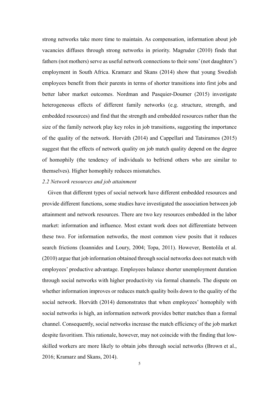strong networks take more time to maintain. As compensation, information about job vacancies diffuses through strong networks in priority. Magruder (2010) finds that fathers (not mothers) serve as useful network connections to their sons' (not daughters') employment in South Africa. Kramarz and Skans (2014) show that young Swedish employees benefit from their parents in terms of shorter transitions into first jobs and better labor market outcomes. Nordman and Pasquier-Doumer (2015) investigate heterogeneous effects of different family networks (e.g. structure, strength, and embedded resources) and find that the strength and embedded resources rather than the size of the family network play key roles in job transitions, suggesting the importance of the quality of the network. Horváth (2014) and Cappellari and Tatsiramos (2015) suggest that the effects of network quality on job match quality depend on the degree of homophily (the tendency of individuals to befriend others who are similar to themselves). Higher homophily reduces mismatches.

#### 2.2 Network resources and job attainment

Given that different types of social network have different embedded resources and provide different functions, some studies have investigated the association between job attainment and network resources. There are two key resources embedded in the labor market: information and influence. Most extant work does not differentiate between these two. For information networks, the most common view posits that it reduces search frictions (Ioannides and Loury, 2004; Topa, 2011). However, Bentolila et al.  $(2010)$  argue that job information obtained through social networks does not match with employees' productive advantage. Employees balance shorter unemployment duration through social networks with higher productivity via formal channels. The dispute on whether information improves or reduces match quality boils down to the quality of the social network. Horváth (2014) demonstrates that when employees' homophily with social networks is high, an information network provides better matches than a formal channel. Consequently, social networks increase the match efficiency of the job market despite favoritism. This rationale, however, may not coincide with the finding that lowskilled workers are more likely to obtain jobs through social networks (Brown et al., 2016; Kramarz and Skans, 2014).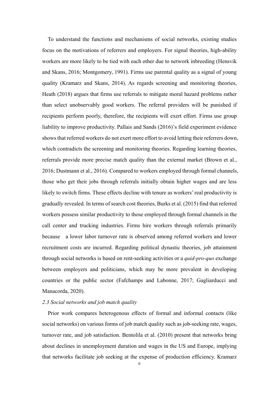To understand the functions and mechanisms of social networks, existing studies focus on the motivations of referrers and employers. For signal theories, high-ability workers are more likely to be tied with each other due to network inbreeding (Hensvik and Skans, 2016; Montgomery, 1991). Firms use parental quality as a signal of young quality (Kramarz and Skans, 2014). As regards screening and monitoring theories, Heath (2018) argues that firms use referrals to mitigate moral hazard problems rather than select unobservably good workers. The referral providers will be punished if recipients perform poorly, therefore, the recipients will exert effort. Firms use group liability to improve productivity. Pallais and Sands (2016)'s field experiment evidence shows that referred workers do not exert more effort to avoid letting their referrers down, which contradicts the screening and monitoring theories. Regarding learning theories, referrals provide more precise match quality than the external market (Brown et al., 2016; Dustmann et al., 2016). Compared to workers employed through formal channels, those who get their jobs through referrals initially obtain higher wages and are less likely to switch firms. These effects decline with tenure as workers' real productivity is gradually revealed. In terms of search cost theories, Burks et al. (2015) find that referred workers possess similar productivity to those employed through formal channels in the call center and trucking industries. Firms hire workers through referrals primarily because a lower labor turnover rate is observed among referred workers and lower recruitment costs are incurred. Regarding political dynastic theories, job attainment through social networks is based on rent-seeking activities or a *quid-pro-quo* exchange between employers and politicians, which may be more prevalent in developing countries or the public sector (Fafchamps and Labonne, 2017; Gagliarducci and Manacorda, 2020).

### 2.3 Social networks and job match quality

Prior work compares heterogenous effects of formal and informal contacts (like social networks) on various forms of job match quality such as job-seeking rate, wages, turnover rate, and job satisfaction. Bentolila et al. (2010) present that networks bring about declines in unemployment duration and wages in the US and Europe, implying that networks facilitate job seeking at the expense of production efficiency. Kramarz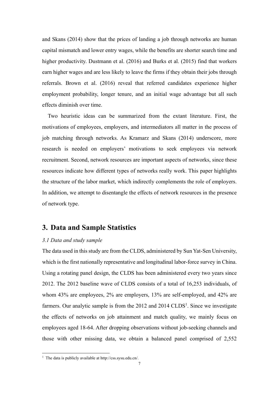and Skans (2014) show that the prices of landing a job through networks are human capital mismatch and lower entry wages, while the benefits are shorter search time and higher productivity. Dustmann et al.  $(2016)$  and Burks et al.  $(2015)$  find that workers earn higher wages and are less likely to leave the firms if they obtain their jobs through referrals. Brown et al. (2016) reveal that referred candidates experience higher employment probability, longer tenure, and an initial wage advantage but all such effects diminish over time.

Two heuristic ideas can be summarized from the extant literature. First, the motivations of employees, employers, and intermediators all matter in the process of job matching through networks. As Kramarz and Skans (2014) underscore, more research is needed on employers' motivations to seek employees via network recruitment. Second, network resources are important aspects of networks, since these resources indicate how different types of networks really work. This paper highlights the structure of the labor market, which indirectly complements the role of employers. In addition, we attempt to disentangle the effects of network resources in the presence of network type.

## **3. Data and Sample Statistics**

#### *3.1 Data and study sample*

The data used in this study are from the CLDS, administered by Sun Yat-Sen University, which is the first nationally representative and longitudinal labor-force survey in China. Using a rotating panel design, the CLDS has been administered every two years since 2012. The 2012 baseline wave of CLDS consists of a total of  $16,253$  individuals, of whom 43% are employees,  $2\%$  are employers,  $13\%$  are self-employed, and  $42\%$  are farmers. Our analytic sample is from the 2012 and 2014 CLDS<sup>1</sup>. Since we investigate the effects of networks on job attainment and match quality, we mainly focus on employees aged 18-64. After dropping observations without job-seeking channels and those with other missing data, we obtain a balanced panel comprised of 2,552

<sup>&</sup>lt;sup>1</sup> The data is publicly available at http://css.sysu.edu.cn/.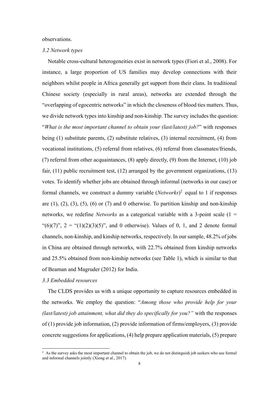observations.

#### 3.2 Network types

Notable cross-cultural heterogeneities exist in network types (Fiori et al., 2008). For instance, a large proportion of US families may develop connections with their neighbors whilst people in Africa generally get support from their clans. In traditional Chinese society (especially in rural areas), networks are extended through the "overlapping of egocentric networks" in which the closeness of blood ties matters. Thus, we divide network types into kinship and non-kinship. The survey includes the question: "What is the most important channel to obtain your (last/latest) job?" with responses being  $(1)$  substitute parents,  $(2)$  substitute relatives,  $(3)$  internal recruitment,  $(4)$  from vocational institutions, (5) referral from relatives, (6) referral from classmates/friends,  $(7)$  referral from other acquaintances,  $(8)$  apply directly,  $(9)$  from the Internet,  $(10)$  job fair,  $(11)$  public recruitment test,  $(12)$  arranged by the government organizations,  $(13)$ votes. To identify whether jobs are obtained through informal (networks in our case) or formal channels, we construct a dummy variable  $(Networks)^2$  equal to 1 if responses are  $(1)$ ,  $(2)$ ,  $(3)$ ,  $(5)$ ,  $(6)$  or  $(7)$  and 0 otherwise. To partition kinship and non-kinship networks, we redefine *Networks* as a categorical variable with a 3-point scale  $(1 =$ "(6)(7)", 2 = "(1)(2)(3)(5)", and 0 otherwise). Values of 0, 1, and 2 denote formal channels, non-kinship, and kinship networks, respectively. In our sample, 48.2% of jobs in China are obtained through networks, with 22.7% obtained from kinship networks and 25.5% obtained from non-kinship networks (see Table 1), which is similar to that of Beaman and Magruder (2012) for India.

#### 3.3 Embedded resources

The CLDS provides us with a unique opportunity to capture resources embedded in the networks. We employ the question: "Among those who provide help for your (last/latest) job attainment, what did they do specifically for you?" with the responses of  $(1)$  provide job information,  $(2)$  provide information of firms/employers,  $(3)$  provide concrete suggestions for applications, (4) help prepare application materials, (5) prepare

<sup>&</sup>lt;sup>2</sup> As the survey asks the most important channel to obtain the job, we do not distinguish job seekers who use formal and informal channels jointly (Xiong et al., 2017).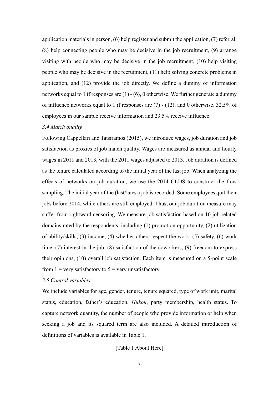application materials in person,  $(6)$  help register and submit the application,  $(7)$  referral, (8) help connecting people who may be decisive in the job recruitment, (9) arrange visiting with people who may be decisive in the job recruitment,  $(10)$  help visiting people who may be decisive in the recruitment,  $(11)$  help solving concrete problems in application, and  $(12)$  provide the job directly. We define a dummy of information networks equal to 1 if responses are  $(1)$  -  $(6)$ , 0 otherwise. We further generate a dummy of influence networks equal to 1 if responses are  $(7)$  - (12), and 0 otherwise. 32.5% of employees in our sample receive information and 23.5% receive influence.

#### 3.4 Match quality

Following Cappellari and Tatsiramos (2015), we introduce wages, job duration and job satisfaction as proxies of job match quality. Wages are measured as annual and hourly wages in 2011 and 2013, with the 2011 wages adjusted to 2013. Job duration is defined as the tenure calculated according to the initial year of the last job. When analyzing the effects of networks on job duration, we use the 2014 CLDS to construct the flow sampling. The initial year of the (last/latest) job is recorded. Some employees quit their jobs before 2014, while others are still employed. Thus, our job duration measure may suffer from rightward censoring. We measure job satisfaction based on 10 job-related domains rated by the respondents, including (1) promotion opportunity, (2) utilization of ability/skills, (3) income, (4) whether others respect the work, (5) safety, (6) work time,  $(7)$  interest in the job,  $(8)$  satisfaction of the coworkers,  $(9)$  freedom to express their opinions, (10) overall job satisfaction. Each item is measured on a 5-point scale from  $1 =$  very satisfactory to  $5 =$  very unsatisfactory.

#### 3.5 Control variables

We include variables for age, gender, tenure, tenure squared, type of work unit, marital status, education, father's education, *Hukou*, party membership, health status. To capture network quantity, the number of people who provide information or help when seeking a job and its squared term are also included. A detailed introduction of definitions of variables is available in Table 1.

### [Table 1 About Here]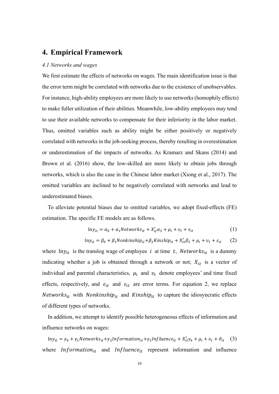## **4. Empirical Framework**

#### 4.1 Networks and wages

We first estimate the effects of networks on wages. The main identification issue is that the error term might be correlated with networks due to the existence of unobservables. For instance, high-ability employees are more likely to use networks (homophily effects) to make fuller utilization of their abilities. Meanwhile, low-ability employees may tend to use their available networks to compensate for their inferiority in the labor market. Thus, omitted variables such as ability might be either positively or negatively correlated with networks in the job-seeking process, thereby resulting in overestimation or underestimation of the impacts of networks. As Kramarz and Skans (2014) and Brown et al. (2016) show, the low-skilled are more likely to obtain jobs through networks, which is also the case in the Chinese labor market (Xiong et al., 2017). The omitted variables are inclined to be negatively correlated with networks and lead to underestimated biases.

To alleviate potential biases due to omitted variables, we adopt fixed-effects (FE) estimation. The specific FE models are as follows.

$$
ln y_{it} = \alpha_0 + \alpha_1 Networks_{it} + X'_{it}\alpha_3 + \mu_i + v_t + \epsilon_{it}
$$
 (1)

$$
ln y_{it} = \beta_0 + \beta_1 Nonkinship_{it} + \beta_2 Kinship_{it} + X_{it}'\beta_3 + \mu_i + v_t + \varepsilon_{it}
$$
 (2)

where  $\ln y_{it}$  is the translog wage of employee *i* at time *t*, *Networks*<sub>it</sub> is a dummy indicating whether a job is obtained through a network or not;  $X_{it}$  is a vector of individual and parental characteristics,  $\mu_i$  and  $v_t$  denote employees' and time fixed effects, respectively, and  $\epsilon_{it}$  and  $\epsilon_{it}$  are error terms. For equation 2, we replace Networks<sub>it</sub> with Nonkinship<sub>it</sub> and Kinship<sub>it</sub> to capture the idiosyncratic effects of different types of networks.

In addition, we attempt to identify possible heterogeneous effects of information and influence networks on wages:

 $\mathrm{ln}y_{it} = \gamma_0 + \gamma_1 Networks_{it} + \gamma_2 Information_{it} + \gamma_3 Influence_{it} + X_{it}'\gamma_4 + \mu_i + v_t + \vartheta_{it} \eqno(3)$ where *Information*<sub>it</sub> and *Influence*<sub>it</sub> represent information and influence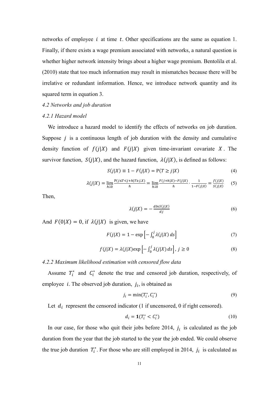networks of employee i at time t. Other specifications are the same as equation 1. Finally, if there exists a wage premium associated with networks, a natural question is whether higher network intensity brings about a higher wage premium. Bentolila et al.  $(2010)$  state that too much information may result in mismatches because there will be irrelative or redundant information. Hence, we introduce network quantity and its squared term in equation 3.

#### *4.2 Networks and job duration*

#### 4.2.1 Hazard model

We introduce a hazard model to identify the effects of networks on job duration. Suppose  $j$  is a continuous length of job duration with the density and cumulative density function of  $f(j|X)$  and  $F(j|X)$  given time-invariant covariate X. The survivor function,  $S(j|X)$ , and the hazard function,  $\lambda(j|X)$ , is defined as follows:

$$
S(j|X) \equiv 1 - F(j|X) = P(T \ge j|X)
$$
\n<sup>(4)</sup>

$$
\lambda(j|X) = \lim_{h \downarrow 0} \frac{P(j \le T < j + h|T \ge j, X)}{h} = \lim_{h \downarrow 0} \frac{F(j + h|X) - F(j|X)}{h} \cdot \frac{1}{1 - F(j|X)} = \frac{f(j|X)}{S(j|X)} \tag{5}
$$

Then,

$$
\lambda(j|X) = -\frac{d\ln S(j|X)}{dj} \tag{6}
$$

And  $F(0|X) = 0$ , if  $\lambda(j|X)$  is given, we have

$$
F(j|X) = 1 - \exp\left[-\int_0^j \lambda(j|X) \, ds\right] \tag{7}
$$

$$
f(j|X) = \lambda(j|X) \exp\left[-\int_0^j \lambda(j|X) \, ds\right], \, j \ge 0 \tag{8}
$$

*4.2.2 Maximum likelihood estimation with censored flow data* 

Assume  $T_i^*$  and  $C_i^*$  denote the true and censored job duration, respectively, of employee *i*. The observed job duration,  $j_i$ , is obtained as

$$
j_i = \min(T_i^*, C_i^*)
$$
\n(9)

Let  $d_i$  represent the censored indicator (1 if uncensored, 0 if right censored).

$$
d_i = \mathbf{1}(T_i^* < C_i^*)\tag{10}
$$

In our case, for those who quit their jobs before 2014,  $j_i$  is calculated as the job duration from the year that the job started to the year the job ended. We could observe the true job duration  $T_i^*$ . For those who are still employed in 2014,  $j_i$  is calculated as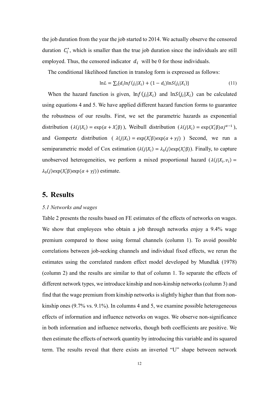the job duration from the year the job started to 2014. We actually observe the censored duration  $C_i^*$ , which is smaller than the true job duration since the individuals are still employed. Thus, the censored indicator  $d_i$  will be 0 for those individuals.

The conditional likelihood function in translog form is expressed as follows:

$$
\ln L = \sum_{i} \{ d_i \ln f(j_i | X_i) + (1 - d_i) \ln S(j_i | X_i) \}
$$
(11)

When the hazard function is given,  $\ln f(j_i|X_i)$  and  $\ln S(j_i|X_i)$  can be calculated using equations 4 and 5. We have applied different hazard function forms to guarantee the robustness of our results. First, we set the parametric hazards as exponential distribution  $(\lambda(j|X_i) = \exp(\alpha + X'_i\beta))$ , Weibull distribution  $(\lambda(j|X_i) = \exp(X'_i\beta)\alpha j^{\alpha-1})$ , and Gompertz distribution ( $\lambda(j|X_i) = \exp(X_i^{\prime} \beta) \exp(\alpha + \gamma j)$ ) Second, we run a semiparametric model of Cox estimation  $(\lambda(j|X_i) = \lambda_0(j) \exp(X'_i\beta))$ . Finally, to capture unobserved heterogeneities, we perform a mixed proportional hazard  $(\lambda(j|X_i, v_i))$  =  $\lambda_0(j)$ exp(X'<sub>i</sub> $\beta$ ) exp( $\alpha + \gamma j$ ) estimate.

### **5.** Results

#### *5.1 Networks and wages*

Table 2 presents the results based on FE estimates of the effects of networks on wages. We show that employees who obtain a job through networks enjoy a 9.4% wage premium compared to those using formal channels (column 1). To avoid possible correlations between job-seeking channels and individual fixed effects, we rerun the estimates using the correlated random effect model developed by Mundlak (1978) (column 2) and the results are similar to that of column 1. To separate the effects of different network types, we introduce kinship and non-kinship networks (column 3) and find that the wage premium from kinship networks is slightly higher than that from nonkinship ones  $(9.7\% \text{ vs. } 9.1\%)$ . In columns 4 and 5, we examine possible heterogeneous effects of information and influence networks on wages. We observe non-significance in both information and influence networks, though both coefficients are positive. We then estimate the effects of network quantity by introducing this variable and its squared term. The results reveal that there exists an inverted "U" shape between network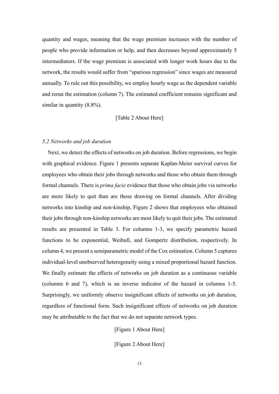quantity and wages, meaning that the wage premium increases with the number of people who provide information or help, and then decreases beyond approximately 5 intermediators. If the wage premium is associated with longer work hours due to the network, the results would suffer from "spurious regression" since wages are measured annually. To rule out this possibility, we employ hourly wage as the dependent variable and rerun the estimation (column 7). The estimated coefficient remains significant and similar in quantity  $(8.8\%)$ .

#### [Table 2 About Here]

#### **5.2 Networks and job duration**

Next, we detect the effects of networks on job duration. Before regressions, we begin with graphical evidence. Figure 1 presents separate Kaplan-Meier survival curves for employees who obtain their jobs through networks and those who obtain them through formal channels. There is *prima facie* evidence that those who obtain jobs via networks are more likely to quit than are those drawing on formal channels. After dividing networks into kinship and non-kinship, Figure 2 shows that employees who obtained their jobs through non-kinship networks are most likely to quit their jobs. The estimated results are presented in Table 3. For columns 1-3, we specify parametric hazard functions to be exponential, Weibull, and Gompertz distribution, respectively. In column 4, we present a semiparametric model of the Cox estimation. Column 5 captures individual-level unobserved heterogeneity using a mixed proportional hazard function. We finally estimate the effects of networks on job duration as a continuous variable (columns 6 and 7), which is an inverse indicator of the hazard in columns 1-5. Surprisingly, we uniformly observe insignificant effects of networks on job duration, regardless of functional form. Such insignificant effects of networks on job duration may be attributable to the fact that we do not separate network types.

[Figure 1 About Here]

[Figure 2 About Here]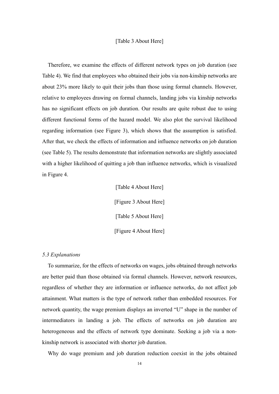#### [Table 3 About Here]

Therefore, we examine the effects of different network types on job duration (see Table 4). We find that employees who obtained their jobs via non-kinship networks are about 23% more likely to quit their jobs than those using formal channels. However, relative to employees drawing on formal channels, landing jobs via kinship networks has no significant effects on job duration. Our results are quite robust due to using different functional forms of the hazard model. We also plot the survival likelihood regarding information (see Figure 3), which shows that the assumption is satisfied. After that, we check the effects of information and influence networks on job duration (see Table 5). The results demonstrate that information networks are slightly associated with a higher likelihood of quitting a job than influence networks, which is visualized in Figure 4.

> [Table 4 About Here] [Figure 3 About Here] [Table 5 About Here] [Figure 4 About Here]

#### 5.3 *Explanations*

To summarize, for the effects of networks on wages, jobs obtained through networks are better paid than those obtained via formal channels. However, network resources, regardless of whether they are information or influence networks, do not affect job attainment. What matters is the type of network rather than embedded resources. For network quantity, the wage premium displays an inverted "U" shape in the number of intermediators in landing a job. The effects of networks on job duration are heterogeneous and the effects of network type dominate. Seeking a job via a nonkinship network is associated with shorter job duration.

Why do wage premium and job duration reduction coexist in the jobs obtained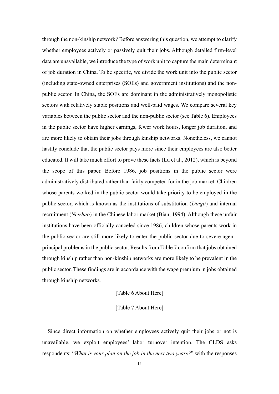through the non-kinship network? Before answering this question, we attempt to clarify whether employees actively or passively quit their jobs. Although detailed firm-level data are unavailable, we introduce the type of work unit to capture the main determinant of job duration in China. To be specific, we divide the work unit into the public sector (including state-owned enterprises (SOEs) and government institutions) and the nonpublic sector. In China, the SOEs are dominant in the administratively monopolistic sectors with relatively stable positions and well-paid wages. We compare several key variables between the public sector and the non-public sector (see Table 6). Employees in the public sector have higher earnings, fewer work hours, longer job duration, and are more likely to obtain their jobs through kinship networks. Nonetheless, we cannot hastily conclude that the public sector pays more since their employees are also better educated. It will take much effort to prove these facts (Lu et al., 2012), which is beyond the scope of this paper. Before 1986, job positions in the public sector were administratively distributed rather than fairly competed for in the job market. Children whose parents worked in the public sector would take priority to be employed in the public sector, which is known as the institutions of substitution (*Dingti*) and internal recruitment (*Neizhao*) in the Chinese labor market (Bian, 1994). Although these unfair institutions have been officially canceled since 1986, children whose parents work in the public sector are still more likely to enter the public sector due to severe agentprincipal problems in the public sector. Results from Table 7 confirm that jobs obtained through kinship rather than non-kinship networks are more likely to be prevalent in the public sector. These findings are in accordance with the wage premium in jobs obtained through kinship networks.

#### [Table 6 About Here]

#### [Table 7 About Here]

Since direct information on whether employees actively quit their jobs or not is unavailable, we exploit employees' labor turnover intention. The CLDS asks respondents: "What is your plan on the job in the next two years?" with the responses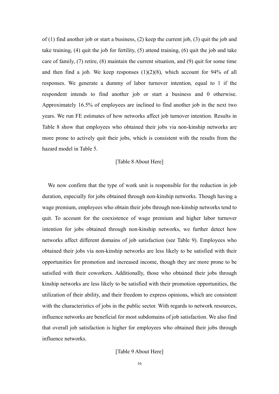of (1) find another job or start a business, (2) keep the current job, (3) quit the job and take training, (4) quit the job for fertility, (5) attend training, (6) quit the job and take care of family, (7) retire, (8) maintain the current situation, and (9) quit for some time and then find a job. We keep responses  $(1)(2)(8)$ , which account for 94% of all responses. We generate a dummy of labor turnover intention, equal to 1 if the respondent intends to find another job or start a business and 0 otherwise. Approximately 16.5% of employees are inclined to find another job in the next two years. We run FE estimates of how networks affect job turnover intention. Results in Table 8 show that employees who obtained their jobs via non-kinship networks are more prone to actively quit their jobs, which is consistent with the results from the hazard model in Table 5.

#### [Table 8 About Here]

We now confirm that the type of work unit is responsible for the reduction in job duration, especially for jobs obtained through non-kinship networks. Though having a wage premium, employees who obtain their jobs through non-kinship networks tend to quit. To account for the coexistence of wage premium and higher labor turnover intention for jobs obtained through non-kinship networks, we further detect how networks affect different domains of job satisfaction (see Table 9). Employees who obtained their jobs via non-kinship networks are less likely to be satisfied with their opportunities for promotion and increased income, though they are more prone to be satisfied with their coworkers. Additionally, those who obtained their jobs through kinship networks are less likely to be satisfied with their promotion opportunities, the utilization of their ability, and their freedom to express opinions, which are consistent with the characteristics of jobs in the public sector. With regards to network resources, influence networks are beneficial for most subdomains of job satisfaction. We also find that overall job satisfaction is higher for employees who obtained their jobs through influence networks.

[Table 9 About Here]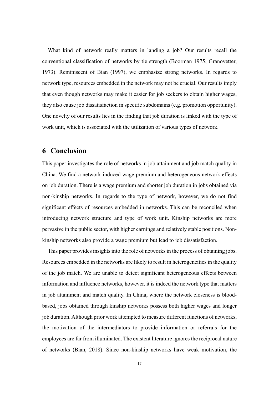What kind of network really matters in landing a job? Our results recall the conventional classification of networks by tie strength (Boorman 1975; Granovetter, 1973). Reminiscent of Bian (1997), we emphasize strong networks. In regards to network type, resources embedded in the network may not be crucial. Our results imply that even though networks may make it easier for job seekers to obtain higher wages, they also cause job dissatisfaction in specific subdomains (e.g. promotion opportunity). One novelty of our results lies in the finding that job duration is linked with the type of work unit, which is associated with the utilization of various types of network.

## **6** Conclusion

This paper investigates the role of networks in job attainment and job match quality in China. We find a network-induced wage premium and heterogeneous network effects on job duration. There is a wage premium and shorter job duration in jobs obtained via non-kinship networks. In regards to the type of network, however, we do not find significant effects of resources embedded in networks. This can be reconciled when introducing network structure and type of work unit. Kinship networks are more pervasive in the public sector, with higher earnings and relatively stable positions. Nonkinship networks also provide a wage premium but lead to job dissatisfaction.

This paper provides insights into the role of networks in the process of obtaining jobs. Resources embedded in the networks are likely to result in heterogeneities in the quality of the job match. We are unable to detect significant heterogeneous effects between information and influence networks, however, it is indeed the network type that matters in job attainment and match quality. In China, where the network closeness is bloodbased, jobs obtained through kinship networks possess both higher wages and longer job duration. Although prior work attempted to measure different functions of networks, the motivation of the intermediators to provide information or referrals for the employees are far from illuminated. The existent literature ignores the reciprocal nature of networks (Bian, 2018). Since non-kinship networks have weak motivation, the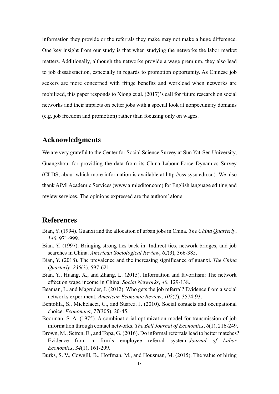information they provide or the referrals they make may not make a huge difference. One key insight from our study is that when studying the networks the labor market matters. Additionally, although the networks provide a wage premium, they also lead to job dissatisfaction, especially in regards to promotion opportunity. As Chinese job seekers are more concerned with fringe benefits and workload when networks are mobilized, this paper responds to Xiong et al. (2017)'s call for future research on social networks and their impacts on better jobs with a special look at nonpecuniary domains (e.g. job freedom and promotion) rather than focusing only on wages.

## Acknowledgments

We are very grateful to the Center for Social Science Survey at Sun Yat-Sen University, Guangzhou, for providing the data from its China Labour-Force Dynamics Survey (CLDS, about which more information is available at http://css.sysu.edu.cn). We also thank AiMi Academic Services (www.aimieditor.com) for English language editing and review services. The opinions expressed are the authors' alone.

## **References**

- Bian, Y. (1994). Guanxi and the allocation of urban jobs in China. *The China Quarterly*, *140*, 971-999.
- Bian, Y. (1997). Bringing strong ties back in: Indirect ties, network bridges, and job searches in China. *American Sociological Review*, 62(3), 366-385.
- Bian, Y. (2018). The prevalence and the increasing significance of guanxi. *The China Quarterly*, 235(3), 597-621.
- Bian, Y., Huang, X., and Zhang, L. (2015). Information and favoritism: The network effect on wage income in China. *Social Networks*, 40, 129-138.
- Beaman, L. and Magruder, J. (2012). Who gets the job referral? Evidence from a social networks experiment. *American Economic Review*, 102(7), 3574-93.
- Bentolila, S., Michelacci, C., and Suarez, J. (2010). Social contacts and occupational choice. *Economica*, 77(305), 20-45.
- Boorman, S. A. (1975). A combinatiorial optimization model for transmission of job information through contact networks. *The Bell Journal of Economics*,  $6(1)$ , 216-249.
- Brown, M., Setren, E., and Topa, G. (2016). Do informal referrals lead to better matches? Evidence from a firm's employee referral system. *Journal of Labor Economics*, 34(1), 161-209.

Burks, S. V., Cowgill, B., Hoffman, M., and Housman, M. (2015). The value of hiring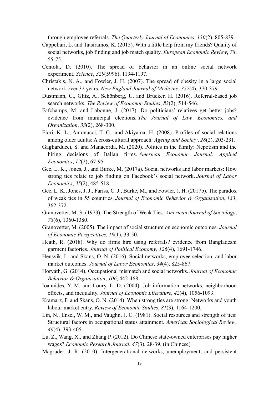through employee referrals. *The Quarterly Journal of Economics*,  $130(2)$ , 805-839.

- Cappellari, L. and Tatsiramos, K. (2015). With a little help from my friends? Quality of social networks, job finding and job match quality. *European Economic Review*, 78, 55-75.
- Centola, D. (2010). The spread of behavior in an online social network experiment. *Science*, 329(5996), 1194-1197.
- Christakis, N. A., and Fowler, J. H. (2007). The spread of obesity in a large social network over 32 years. *New England Journal of Medicine*, 357(4), 370-379.
- Dustmann, C., Glitz, A., Schönberg, U. and Brücker, H. (2016). Referral-based job search networks. *The Review of Economic Studies*, 83(2), 514-546.
- Fafchamps, M. and Labonne, J. (2017). Do politicians' relatives get better jobs? evidence from municipal elections. The Journal of Law, *Economics*, and *Drganization, 33(2), 268-300.*
- Fiori, K. L., Antonucci, T. C., and Akiyama, H. (2008). Profiles of social relations among older adults: A cross-cultural approach. *Ageing and Society*, 28(2), 203-231.
- Gagliarducci, S. and Manacorda, M. (2020). Politics in the family: Nepotism and the hiring decisions of Italian firms. *American Economic Journal: Applied Economics, 12(2), 67-95.*
- Gee, L. K., Jones, J., and Burke, M. (2017a). Social networks and labor markets: How strong ties relate to job finding on Facebook's social network. *Journal of Labor Economics*, 35(2), 485-518.
- Gee, L. K., Jones, J. J., Fariss, C. J., Burke, M., and Fowler, J. H. (2017b). The paradox of weak ties in 55 countries. *Journal of Economic Behavior & Organization*, 133, 362-372.
- Granovetter, M. S. (1973). The Strength of Weak Ties. *American Journal of Sociology*, *78*(6), 1360-1380.
- Granovetter, M. (2005). The impact of social structure on economic outcomes. *Journal of Economic Perspectives, 19(1), 33-50.*
- Heath, R. (2018). Why do firms hire using referrals? evidence from Bangladeshi garment factories. *Journal of Political Economy*, 126(4), 1691-1746.
- Hensvik, L. and Skans, O. N. (2016). Social networks, employee selection, and labor market outcomes. *Journal of Labor Economics*, 34(4), 825-867.
- Horváth, G. (2014). Occupational mismatch and social networks. *Journal of Economic Behavior & Organization, 106, 442-468.*
- Ioannides, Y. M. and Loury, L. D. (2004). Job information networks, neighborhood effects, and inequality. *Journal of Economic Literature*, 42(4), 1056-1093.
- Kramarz, F. and Skans, O. N. (2014). When strong ties are strong: Networks and youth labour market entry. *Review of Economic Studies*, 81(3), 1164-1200.
- Lin, N., Ensel, W. M., and Vaughn, J. C. (1981). Social resources and strength of ties: Structural factors in occupational status attainment. American Sociological Review, *46*(4), 393-405.
- Lu, Z., Wang, X., and Zhang P. (2012). Do Chinese state-owned enterprises pay higher wages? *Economic Research Journal*, 47(3), 28-39. (in Chinese)
- Magruder, J. R. (2010). Intergenerational networks, unemployment, and persistent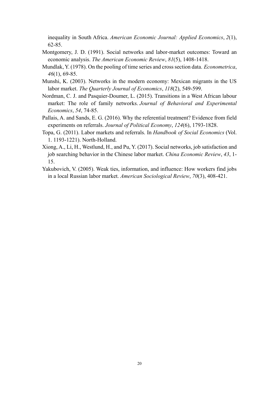inequality in South Africa. *American Economic Journal: Applied Economics*, 2(1), 62-85.

- Montgomery, J. D. (1991). Social networks and labor-market outcomes: Toward an economic analysis. *The American Economic Review*, 81(5), 1408-1418.
- Mundlak, Y. (1978). On the pooling of time series and cross section data. *Econometrica*, *46*(1), 69-85.
- Munshi, K. (2003). Networks in the modern economy: Mexican migrants in the US labor market. *The Quarterly Journal of Economics*,  $118(2)$ , 549-599.
- Nordman, C. J. and Pasquier-Doumer, L. (2015). Transitions in a West African labour market: The role of family networks. *Journal of Behavioral and Experimental Economics*, 54, 74-85.
- Pallais, A. and Sands, E. G. (2016). Why the referential treatment? Evidence from field experiments on referrals. *Journal of Political Economy*, 124(6), 1793-1828.
- Topa, G. (2011). Labor markets and referrals. In *Handbook of Social Economics* (Vol. 1. 1193-1221). North-Holland.
- Xiong, A., Li, H., Westlund, H., and Pu, Y. (2017). Social networks, job satisfaction and job searching behavior in the Chinese labor market. *China Economic Review*, 43, 1-15.
- Yakubovich, V. (2005). Weak ties, information, and influence: How workers find jobs in a local Russian labor market. *American Sociological Review*, 70(3), 408-421.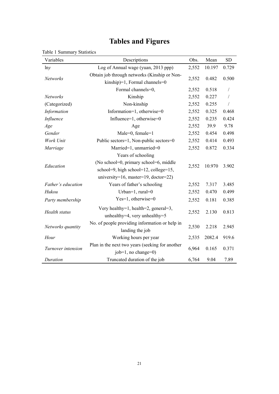## **Tables and Figures**

| Variables            | Descriptions                                                                    | Obs.  | Mean   | <b>SD</b>  |
|----------------------|---------------------------------------------------------------------------------|-------|--------|------------|
| lny                  | Log of Annual wage (yuan, 2013 ppp)                                             | 2,552 | 10.197 | 0.729      |
| <b>Networks</b>      | Obtain job through networks (Kinship or Non-<br>kinship)=1, Formal channels=0   | 2,552 | 0.482  | 0.500      |
|                      | Formal channels=0,                                                              | 2,552 | 0.518  | $\sqrt{2}$ |
| Networks             | Kinship                                                                         | 2,552 | 0.227  | $\sqrt{2}$ |
| (Categorized)        | Non-kinship                                                                     | 2,552 | 0.255  | $\sqrt{ }$ |
| Information          | Information=1, otherwise=0                                                      | 2,552 | 0.325  | 0.468      |
| Influence            | Influence=1, otherwise=0                                                        | 2,552 | 0.235  | 0.424      |
| Age                  | Age                                                                             | 2,552 | 39.9   | 9.78       |
| Gender               | Male=0, female=1                                                                | 2,552 | 0.454  | 0.498      |
| Work Unit            | Public sectors=1, Non-public sectors=0                                          | 2,552 | 0.414  | 0.493      |
| Marriage             | Married=1, unmarried=0                                                          | 2,552 | 0.872  | 0.334      |
|                      | Years of schooling                                                              |       |        |            |
| Education            | (No school=0, primary school=6, middle<br>school=9, high school=12, college=15, | 2,552 | 10.970 | 3.902      |
|                      | university=16, master=19, doctor=22)                                            |       |        |            |
| Father's education   | Years of father's schooling                                                     | 2,552 | 7.317  | 3.485      |
| Hukou                | Urban= $1$ , rural= $0$                                                         | 2,552 | 0.470  | 0.499      |
| Party membership     | Yes=1, otherwise=0                                                              | 2,552 | 0.181  | 0.385      |
| <b>Health</b> status | Very healthy=1, health=2, general=3,<br>unhealthy=4, very unhealthy=5           | 2,552 | 2.130  | 0.813      |
| Networks quantity    | No. of people providing information or help in<br>landing the job               | 2,530 | 2.218  | 2.945      |
| Hour                 | Working hours per year                                                          | 2,535 | 2082.4 | 919.6      |
| Turnover intension   | Plan in the next two years (seeking for another<br>$job=1$ , no change=0)       | 6,964 | 0.165  | 0.371      |
| Duration             | Truncated duration of the job                                                   | 6,764 | 9.04   | 7.89       |

### <span id="page-22-0"></span>Table 1 Summary Statistics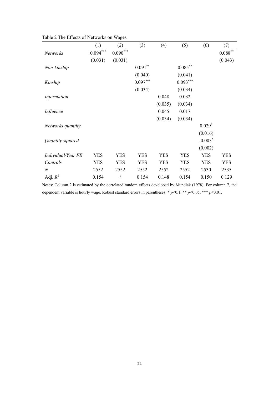|                    | (1)        | (2)                    | (3)        | (4)        | (5)        | (6)        | (7)                |
|--------------------|------------|------------------------|------------|------------|------------|------------|--------------------|
| Networks           | $0.094***$ | $0.090^{\ast\ast\ast}$ |            |            |            |            | $0.088^{\ast\ast}$ |
|                    | (0.031)    | (0.031)                |            |            |            |            | (0.043)            |
| Non-kinship        |            |                        | $0.091***$ |            | $0.085***$ |            |                    |
|                    |            |                        | (0.040)    |            | (0.041)    |            |                    |
| Kinship            |            |                        | $0.097***$ |            | $0.093***$ |            |                    |
|                    |            |                        | (0.034)    |            | (0.034)    |            |                    |
| Information        |            |                        |            | 0.048      | 0.032      |            |                    |
|                    |            |                        |            | (0.035)    | (0.034)    |            |                    |
| Influence          |            |                        |            | 0.045      | 0.017      |            |                    |
|                    |            |                        |            | (0.034)    | (0.034)    |            |                    |
| Networks quantity  |            |                        |            |            |            | $0.029*$   |                    |
|                    |            |                        |            |            |            | (0.016)    |                    |
| Quantity squared   |            |                        |            |            |            | $-0.003*$  |                    |
|                    |            |                        |            |            |            | (0.002)    |                    |
| Individual/Year FE | <b>YES</b> | <b>YES</b>             | <b>YES</b> | <b>YES</b> | <b>YES</b> | <b>YES</b> | <b>YES</b>         |
| Controls           | <b>YES</b> | <b>YES</b>             | <b>YES</b> | <b>YES</b> | <b>YES</b> | <b>YES</b> | <b>YES</b>         |
| $\boldsymbol{N}$   | 2552       | 2552                   | 2552       | 2552       | 2552       | 2530       | 2535               |
| Adj. $R^2$         | 0.154      |                        | 0.154      | 0.148      | 0.154      | 0.150      | 0.129              |

<span id="page-23-0"></span>Table 2 The Effects of Networks on Wages

Notes: Column 2 is estimated by the correlated random effects developed by Mundlak (1978). For column 7, the dependent variable is hourly wage. Robust standard errors in parentheses.  $* p<0.1$ ,  $** p<0.05$ ,  $*** p<0.01$ .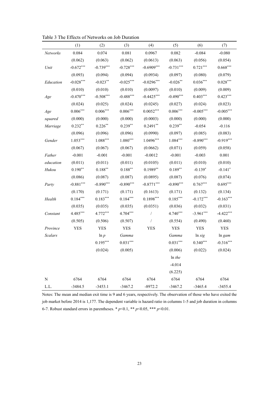|                | (1)           | (2)             | (3)         | (4)            | (5)           | (6)         | (7)         |
|----------------|---------------|-----------------|-------------|----------------|---------------|-------------|-------------|
| Networks       | 0.084         | 0.074           | 0.081       | 0.0967         | 0.082         | $-0.084$    | $-0.080$    |
|                | (0.062)       | (0.063)         | (0.062)     | (0.0613)       | (0.063)       | (0.056)     | (0.054)     |
| Unit           | $-0.672***$   | $-0.739***$     | $-0.728***$ | $-0.6909***$   | $-0.731***$   | $0.721***$  | $0.668***$  |
|                | (0.093)       | (0.094)         | (0.094)     | (0.0934)       | (0.097)       | (0.080)     | (0.079)     |
| Education      | $-0.028***$   | $-0.023**$      | $-0.025***$ | $-0.0296***$   | $-0.026**$    | $0.036***$  | $0.028***$  |
|                | (0.010)       | (0.010)         | (0.010)     | (0.0097)       | (0.010)       | (0.009)     | (0.009)     |
| Age            | $-0.470***$   | $-0.508***$     | $-0.488***$ | $-0.4425***$   | $-0.490***$   | $0.403***$  | $0.423***$  |
|                | (0.024)       | (0.025)         | (0.024)     | (0.0245)       | (0.027)       | (0.024)     | (0.023)     |
| Age            | $0.006^{***}$ | $0.006^{***}\,$ | $0.006***$  | $0.0052***$    | $0.006***$    | $-0.005***$ | $-0.005***$ |
| squared        | (0.000)       | (0.000)         | (0.000)     | (0.0003)       | (0.000)       | (0.000)     | (0.000)     |
| Marriage       | $0.232**$     | $0.226***$      | $0.239**$   | $0.2491**$     | $0.239**$     | $-0.054$    | $-0.116$    |
|                | (0.096)       | (0.096)         | (0.096)     | (0.0990)       | (0.097)       | (0.085)     | (0.083)     |
| Gender         | $1.053***$    | $1.088***$      | $1.080***$  | $1.0496***$    | $1.084***$    | $-0.890***$ | $-0.919***$ |
|                | (0.067)       | (0.067)         | (0.067)     | (0.0662)       | (0.071)       | (0.059)     | (0.058)     |
| Father         | $-0.001$      | $-0.001$        | $-0.001$    | $-0.0012$      | $-0.001$      | $-0.003$    | 0.001       |
| education      | (0.011)       | (0.011)         | (0.011)     | (0.0105)       | (0.011)       | (0.010)     | (0.010)     |
| Hukou          | $0.190**$     | $0.188***$      | $0.188***$  | $0.1989**$     | $0.189**$     | $-0.139*$   | $-0.141*$   |
|                | (0.086)       | (0.087)         | (0.087)     | (0.0895)       | (0.087)       | (0.076)     | (0.074)     |
| Party          | $-0.881***$   | $-0.890***$     | $-0.890***$ | $-0.8771***$   | $-0.890***$   | $0.767***$  | $0.695***$  |
|                | (0.170)       | (0.171)         | (0.171)     | (0.1613)       | (0.171)       | (0.132)     | (0.134)     |
| Health         | $0.184***$    | $0.183***$      | $0.184***$  | $0.1898***$    | $0.185***$    | $-0.172***$ | $-0.163***$ |
|                | (0.035)       | (0.035)         | (0.035)     | (0.0351)       | (0.036)       | (0.032)     | (0.031)     |
| Constant       | 4.485***      | $4.772***$      | 4.704***    | $\sqrt{2}$     | $4.740***$    | $-3.961***$ | $-4.422***$ |
|                | (0.505)       | (0.506)         | (0.507)     | $\overline{1}$ | (0.554)       | (0.490)     | (0.460)     |
| Province       | <b>YES</b>    | <b>YES</b>      | <b>YES</b>  | <b>YES</b>     | <b>YES</b>    | <b>YES</b>  | <b>YES</b>  |
| <b>Scalars</b> |               | $\ln p$         | Gamma       |                | Gamma         | ln sig      | ln gam      |
|                |               | $0.195***$      | $0.031***$  |                | $0.031^{***}$ | $0.340***$  | $-0.316***$ |
|                |               | (0.024)         | (0.005)     |                | (0.006)       | (0.022)     | (0.024)     |
|                |               |                 |             |                | $ln$ the      |             |             |
|                |               |                 |             |                | $-4.014$      |             |             |
|                |               |                 |             |                | (6.225)       |             |             |
| ${\bf N}$      | 6764          | 6764            | 6764        | 6764           | 6764          | 6764        | 6764        |
| L.L.           | $-3484.5$     | $-3453.1$       | $-3467.2$   | $-8972.2$      | $-3467.2$     | $-3465.4$   | $-3455.4$   |

<span id="page-24-0"></span>Table 3 The Effects of Networks on Job Duration

Notes: The mean and median exit time is 9 and 6 years, respectively. The observation of those who have exited the job market before 2014 is 1,177. The dependent variable is hazard ratio in columns 1-5 and job duration in columns 6-7. Robust standard errors in parentheses. \*  $p$  < 0.1, \*\*  $p$  < 0.05, \*\*\*  $p$  < 0.01.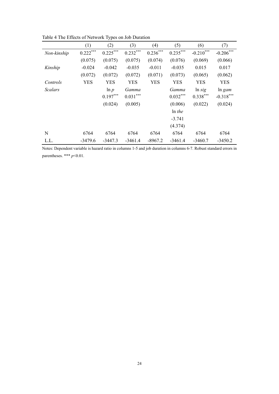|                | (1)        | (2)        | (3)        | (4)        | (5)        | (6)         | (7)         |
|----------------|------------|------------|------------|------------|------------|-------------|-------------|
| Non-kinship    | $0.222***$ | $0.225***$ | $0.232***$ | $0.236***$ | $0.235***$ | $-0.210***$ | $-0.206***$ |
|                | (0.075)    | (0.075)    | (0.075)    | (0.074)    | (0.076)    | (0.069)     | (0.066)     |
| Kinship        | $-0.024$   | $-0.042$   | $-0.035$   | $-0.011$   | $-0.035$   | 0.015       | 0.017       |
|                | (0.072)    | (0.072)    | (0.072)    | (0.071)    | (0.073)    | (0.065)     | (0.062)     |
| Controls       | <b>YES</b> | <b>YES</b> | <b>YES</b> | YES        | <b>YES</b> | YES         | <b>YES</b>  |
| <b>Scalars</b> |            | $\ln p$    | Gamma      |            | Gamma      | ln sig      | $ln\ gamma$ |
|                |            | $0.197***$ | $0.031***$ |            | $0.032***$ | $0.338***$  | $-0.318***$ |
|                |            | (0.024)    | (0.005)    |            | (0.006)    | (0.022)     | (0.024)     |
|                |            |            |            |            | $ln$ the   |             |             |
|                |            |            |            |            | $-3.741$   |             |             |
|                |            |            |            |            | (4.374)    |             |             |
| N              | 6764       | 6764       | 6764       | 6764       | 6764       | 6764        | 6764        |
| L.L.           | $-3479.6$  | $-3447.3$  | $-3461.4$  | $-8967.2$  | $-3461.4$  | $-3460.7$   | $-3450.2$   |

<span id="page-25-0"></span>Table 4 The Effects of Network Types on Job Duration

Notes: Dependent variable is hazard ratio in columns 1-5 and job duration in columns 6-7. Robust standard errors in parentheses. \*\*\*  $p<0.01$ .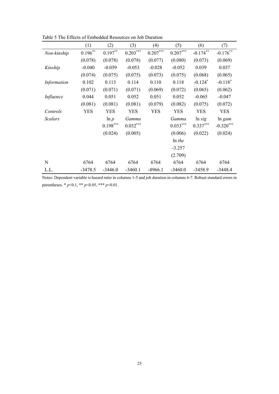|                | (1)        | (2)        | (3)        | (4)        | (5)        | (6)                   | (7)         |
|----------------|------------|------------|------------|------------|------------|-----------------------|-------------|
| Non-kinship    | $0.196***$ | $0.197***$ | $0.203***$ | $0.207***$ | $0.207***$ | $-0.174***$           | $-0.176***$ |
|                | (0.078)    | (0.078)    | (0.078)    | (0.077)    | (0.080)    | (0.073)               | (0.069)     |
| Kinship        | $-0.040$   | $-0.059$   | $-0.053$   | $-0.028$   | $-0.052$   | 0.039                 | 0.037       |
|                | (0.074)    | (0.075)    | (0.075)    | (0.073)    | (0.075)    | (0.068)               | (0.065)     |
| Information    | 0.102      | 0.113      | 0.114      | 0.110      | 0.118      | $-0.124$ <sup>*</sup> | $-0.118*$   |
|                | (0.071)    | (0.071)    | (0.071)    | (0.069)    | (0.072)    | (0.065)               | (0.062)     |
| Influence      | 0.044      | 0.051      | 0.052      | 0.051      | 0.052      | $-0.065$              | $-0.047$    |
|                | (0.081)    | (0.081)    | (0.081)    | (0.079)    | (0.082)    | (0.075)               | (0.072)     |
| Controls       | <b>YES</b> | <b>YES</b> | <b>YES</b> | <b>YES</b> | <b>YES</b> | <b>YES</b>            | <b>YES</b>  |
| <b>Scalars</b> |            | $\ln p$    | Gamma      |            | Gamma      | ln sig                | ln gam      |
|                |            | $0.198***$ | $0.032***$ |            | $0.033***$ | $0.337***$            | $-0.320***$ |
|                |            | (0.024)    | (0.005)    |            | (0.006)    | (0.022)               | (0.024)     |
|                |            |            |            |            | $ln$ the   |                       |             |
|                |            |            |            |            | $-3.257$   |                       |             |
|                |            |            |            |            | (2.709)    |                       |             |
| $\mathbf N$    | 6764       | 6764       | 6764       | 6764       | 6764       | 6764                  | 6764        |
| L.L.           | $-3478.5$  | $-3446.0$  | $-3460.1$  | $-8966.1$  | $-3460.0$  | $-3458.9$             | $-3448.4$   |

<span id="page-26-0"></span>Table 5 The Effects of Embedded Resources on Job Duration

Notes: Dependent variable is hazard ratio in columns 1-5 and job duration in columns 6-7. Robust standard errors in parentheses. \*  $p<0.1$ , \*\*  $p<0.05$ , \*\*\*  $p<0.01$ .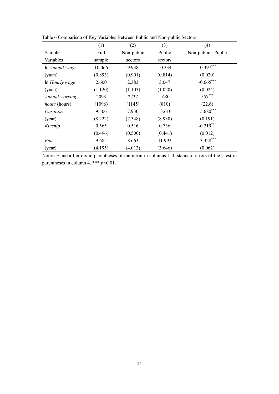| raone o comparison or $\mathbf{r}$ | (1)     | (2)        | (3)     | (4)                 |
|------------------------------------|---------|------------|---------|---------------------|
| Sample                             | Full    | Non-public | Public  | Non-public - Public |
| Variables                          | sample  | sectors    | sectors |                     |
| In Annual wage                     | 10.066  | 9.938      | 10.334  | $-0.397***$         |
| (yuan)                             | (0.893) | (0.901)    | (0.814) | (0.020)             |
| In Hourly wage                     | 2.600   | 2.383      | 3.047   | $-0.665***$         |
| (yuan)                             | (1.120) | (1.103)    | (1.020) | (0.024)             |
| Annual working                     | 2093    | 2237       | 1680    | 557***              |
| <i>hours</i> (hours)               | (1096)  | (1145)     | (810)   | (22.6)              |
| Duration                           | 9.506   | 7.930      | 13.610  | $-5.680***$         |
| (year)                             | (8.222) | (7.348)    | (8.930) | (0.191)             |
| Kinship                            | 0.565   | 0.516      | 0.736   | $-0.219***$         |
|                                    | (0.496) | (0.500)    | (0.441) | (0.012)             |
| Edu                                | 9.685   | 8.663      | 11.992  | $-3.328***$         |
| (year)                             | (4.195) | (4.013)    | (3.646) | (0.062)             |

<span id="page-27-0"></span>Table 6 Comparison of Key Variables Between Public and Non-public Sectors

Notes: Standard errors in parentheses of the mean in columns 1-3, standard errors of the t-test in parentheses in column 4. \*\*\*  $p<0.01$ .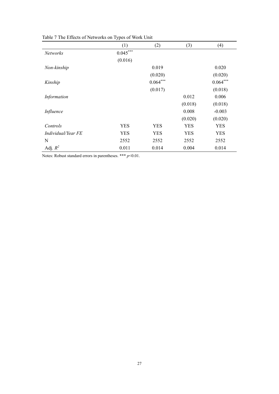|                    | (1)        | (2)        | (3)        | (4)        |
|--------------------|------------|------------|------------|------------|
| <b>Networks</b>    | $0.045***$ |            |            |            |
|                    | (0.016)    |            |            |            |
| Non-kinship        |            | 0.019      |            | 0.020      |
|                    |            | (0.020)    |            | (0.020)    |
| Kinship            |            | $0.064***$ |            | $0.064***$ |
|                    |            | (0.017)    |            | (0.018)    |
| Information        |            |            | 0.012      | 0.006      |
|                    |            |            | (0.018)    | (0.018)    |
| Influence          |            |            | 0.008      | $-0.003$   |
|                    |            |            | (0.020)    | (0.020)    |
| Controls           | <b>YES</b> | <b>YES</b> | <b>YES</b> | <b>YES</b> |
| Individual/Year FE | YES        | <b>YES</b> | <b>YES</b> | <b>YES</b> |
| N                  | 2552       | 2552       | 2552       | 2552       |
| Adj. $R^2$         | 0.011      | 0.014      | 0.004      | 0.014      |

<span id="page-28-0"></span>Table 7 The Effects of Networks on Types of Work Unit

Notes: Robust standard errors in parentheses. \*\*\* *p*<0.01.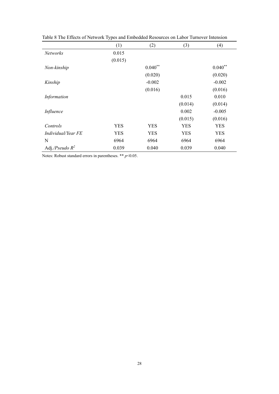|                    | (1)        | (2)        | (3)        | (4)        |
|--------------------|------------|------------|------------|------------|
| Networks           | 0.015      |            |            |            |
|                    | (0.015)    |            |            |            |
| Non-kinship        |            | $0.040**$  |            | $0.040**$  |
|                    |            | (0.020)    |            | (0.020)    |
| Kinship            |            | $-0.002$   |            | $-0.002$   |
|                    |            | (0.016)    |            | (0.016)    |
| Information        |            |            | 0.015      | 0.010      |
|                    |            |            | (0.014)    | (0.014)    |
| Influence          |            |            | 0.002      | $-0.005$   |
|                    |            |            | (0.015)    | (0.016)    |
| Controls           | <b>YES</b> | <b>YES</b> | <b>YES</b> | <b>YES</b> |
| Individual/Year FE | <b>YES</b> | <b>YES</b> | <b>YES</b> | YES        |
| N                  | 6964       | 6964       | 6964       | 6964       |
| Adj./Pseudo $R^2$  | 0.039      | 0.040      | 0.039      | 0.040      |

<span id="page-29-0"></span>Table 8 The Effects of Network Types and Embedded Resources on Labor Turnover Intension

Notes: Robust standard errors in parentheses. \*\* *p*<0.05.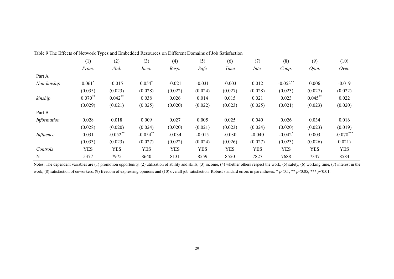|             | (1)        | (2)         | (3)         | (4)        | (5)        | (6)        | (7)        | (8)                   | (9)        | (10)        |
|-------------|------------|-------------|-------------|------------|------------|------------|------------|-----------------------|------------|-------------|
|             | Prom.      | Abil.       | Inco.       | Resp.      | Safe       | Time       | Inte.      | Coop.                 | Opin.      | Over.       |
| Part A      |            |             |             |            |            |            |            |                       |            |             |
| Non-kinship | $0.061*$   | $-0.015$    | $0.054*$    | $-0.021$   | $-0.031$   | $-0.003$   | 0.012      | $-0.053**$            | 0.006      | $-0.019$    |
|             | (0.035)    | (0.023)     | (0.028)     | (0.022)    | (0.024)    | (0.027)    | (0.028)    | (0.023)               | (0.027)    | (0.022)     |
| kinship     | $0.070**$  | $0.042***$  | 0.038       | 0.026      | 0.014      | 0.015      | 0.021      | 0.023                 | $0.045$ ** | 0.022       |
|             | (0.029)    | (0.021)     | (0.025)     | (0.020)    | (0.022)    | (0.023)    | (0.025)    | (0.021)               | (0.023)    | (0.020)     |
| Part B      |            |             |             |            |            |            |            |                       |            |             |
| Information | 0.028      | 0.018       | 0.009       | 0.027      | 0.005      | 0.025      | 0.040      | 0.026                 | 0.034      | 0.016       |
|             | (0.028)    | (0.020)     | (0.024)     | (0.020)    | (0.021)    | (0.023)    | (0.024)    | (0.020)               | (0.023)    | (0.019)     |
| Influence   | 0.031      | $-0.052$ ** | $-0.054$ ** | $-0.034$   | $-0.015$   | $-0.030$   | $-0.040$   | $-0.042$ <sup>*</sup> | 0.003      | $-0.078***$ |
|             | (0.033)    | (0.023)     | (0.027)     | (0.022)    | (0.024)    | (0.026)    | (0.027)    | (0.023)               | (0.026)    | 0.021)      |
| Controls    | <b>YES</b> | <b>YES</b>  | <b>YES</b>  | <b>YES</b> | <b>YES</b> | <b>YES</b> | <b>YES</b> | <b>YES</b>            | <b>YES</b> | <b>YES</b>  |
| N           | 5377       | 7975        | 8640        | 8131       | 8559       | 8550       | 7827       | 7688                  | 7347       | 8584        |

Table 9 The Effects of Network Types and Embedded Resources on Different Domains of Job Satisfaction

<span id="page-30-0"></span>Notes: The dependent variables are (1) promotion opportunity, (2) utilization of ability and skills, (3) income, (4) whether others respect the work, (5) safety, (6) working time, (7) interest in the work, (8) satisfaction of coworkers, (9) freedom of expressing opinions and (10) overall job satisfaction. Robust standard errors in parentheses. \*  $p<0.1$ , \*\*  $p<0.05$ , \*\*\*  $p<0.01$ .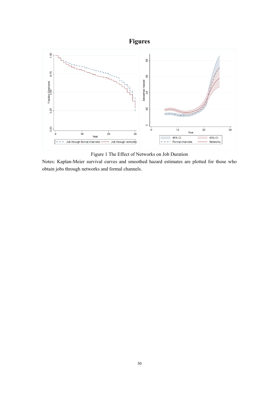



Figure 1 The Effect of Networks on Job Duration

<span id="page-31-0"></span>Notes: Kaplan-Meier survival curves and smoothed hazard estimates are plotted for those who obtain jobs through networks and formal channels.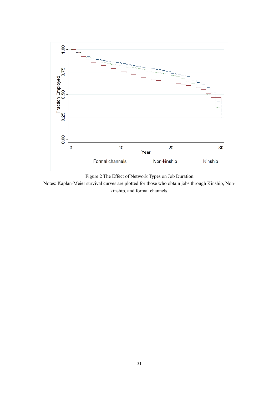

Figure 2 The Effect of Network Types on Job Duration

<span id="page-32-0"></span>Notes: Kaplan-Meier survival curves are plotted for those who obtain jobs through Kinship, Nonkinship, and formal channels.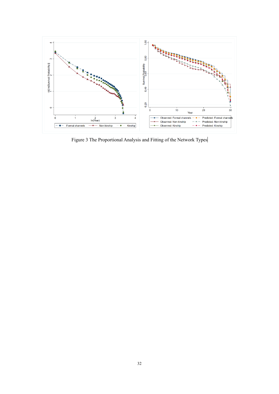

<span id="page-33-0"></span>Figure 3 The Proportional Analysis and Fitting of the Network Types